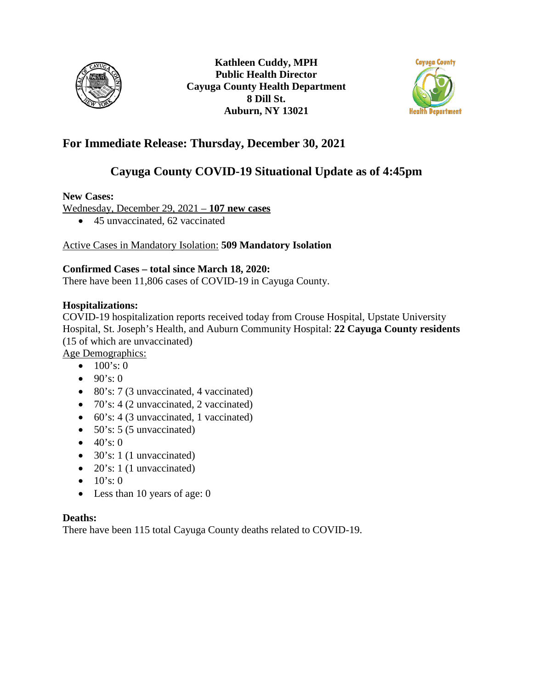



## **For Immediate Release: Thursday, December 30, 2021**

# **Cayuga County COVID-19 Situational Update as of 4:45pm**

### **New Cases:**

Wednesday, December 29, 2021 – **107 new cases**

• 45 unvaccinated, 62 vaccinated

## Active Cases in Mandatory Isolation: **509 Mandatory Isolation**

### **Confirmed Cases – total since March 18, 2020:**

There have been 11,806 cases of COVID-19 in Cayuga County.

### **Hospitalizations:**

COVID-19 hospitalization reports received today from Crouse Hospital, Upstate University Hospital, St. Joseph's Health, and Auburn Community Hospital: **22 Cayuga County residents** (15 of which are unvaccinated)

Age Demographics:

- $100's: 0$
- $90's:0$
- 80's: 7 (3 unvaccinated, 4 vaccinated)
- 70's: 4 (2 unvaccinated, 2 vaccinated)
- 60's: 4 (3 unvaccinated, 1 vaccinated)
- $50$ 's:  $5$  (5 unvaccinated)
- $40's:0$
- 30's: 1 (1 unvaccinated)
- 20's: 1 (1 unvaccinated)
- $10's: 0$
- Less than 10 years of age: 0

#### **Deaths:**

There have been 115 total Cayuga County deaths related to COVID-19.